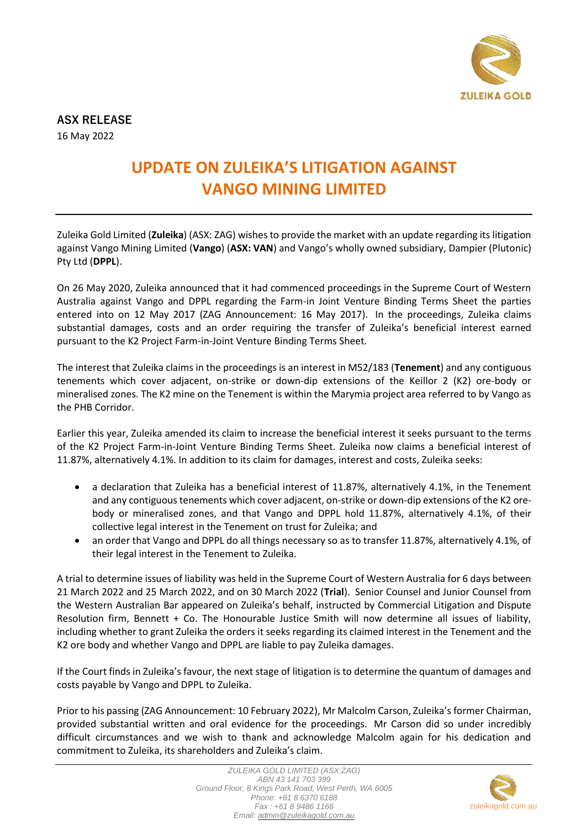

**ASX RELEASE** 16 May 2022

## **UPDATE ON ZULEIKA'S LITIGATION AGAINST VANGO MINING LIMITED**

Zuleika Gold Limited (**Zuleika**) (ASX: ZAG) wishes to provide the market with an update regarding its litigation against Vango Mining Limited (**Vango**) (**ASX: VAN**) and Vango's wholly owned subsidiary, Dampier (Plutonic) Pty Ltd (**DPPL**).

On 26 May 2020, Zuleika announced that it had commenced proceedings in the Supreme Court of Western Australia against Vango and DPPL regarding the Farm-in Joint Venture Binding Terms Sheet the parties entered into on 12 May 2017 (ZAG Announcement: 16 May 2017). In the proceedings, Zuleika claims substantial damages, costs and an order requiring the transfer of Zuleika's beneficial interest earned pursuant to the K2 Project Farm-in-Joint Venture Binding Terms Sheet.

The interest that Zuleika claims in the proceedings is an interest in M52/183 (**Tenement**) and any contiguous tenements which cover adjacent, on-strike or down-dip extensions of the Keillor 2 (K2) ore-body or mineralised zones. The K2 mine on the Tenement is within the Marymia project area referred to by Vango as the PHB Corridor.

Earlier this year, Zuleika amended its claim to increase the beneficial interest it seeks pursuant to the terms of the K2 Project Farm-in-Joint Venture Binding Terms Sheet. Zuleika now claims a beneficial interest of 11.87%, alternatively 4.1%. In addition to its claim for damages, interest and costs, Zuleika seeks:

- a declaration that Zuleika has a beneficial interest of 11.87%, alternatively 4.1%, in the Tenement and any contiguous tenements which cover adjacent, on-strike or down-dip extensions of the K2 orebody or mineralised zones, and that Vango and DPPL hold 11.87%, alternatively 4.1%, of their collective legal interest in the Tenement on trust for Zuleika; and
- an order that Vango and DPPL do all things necessary so as to transfer 11.87%, alternatively 4.1%, of their legal interest in the Tenement to Zuleika.

A trial to determine issues of liability was held in the Supreme Court of Western Australia for 6 days between 21 March 2022 and 25 March 2022, and on 30 March 2022 (**Trial**). Senior Counsel and Junior Counsel from the Western Australian Bar appeared on Zuleika's behalf, instructed by Commercial Litigation and Dispute Resolution firm, Bennett + Co. The Honourable Justice Smith will now determine all issues of liability, including whether to grant Zuleika the orders it seeks regarding its claimed interest in the Tenement and the K2 ore body and whether Vango and DPPL are liable to pay Zuleika damages.

If the Court finds in Zuleika's favour, the next stage of litigation is to determine the quantum of damages and costs payable by Vango and DPPL to Zuleika.

Prior to his passing (ZAG Announcement: 10 February 2022), Mr Malcolm Carson, Zuleika's former Chairman, provided substantial written and oral evidence for the proceedings. Mr Carson did so under incredibly difficult circumstances and we wish to thank and acknowledge Malcolm again for his dedication and commitment to Zuleika, its shareholders and Zuleika's claim.